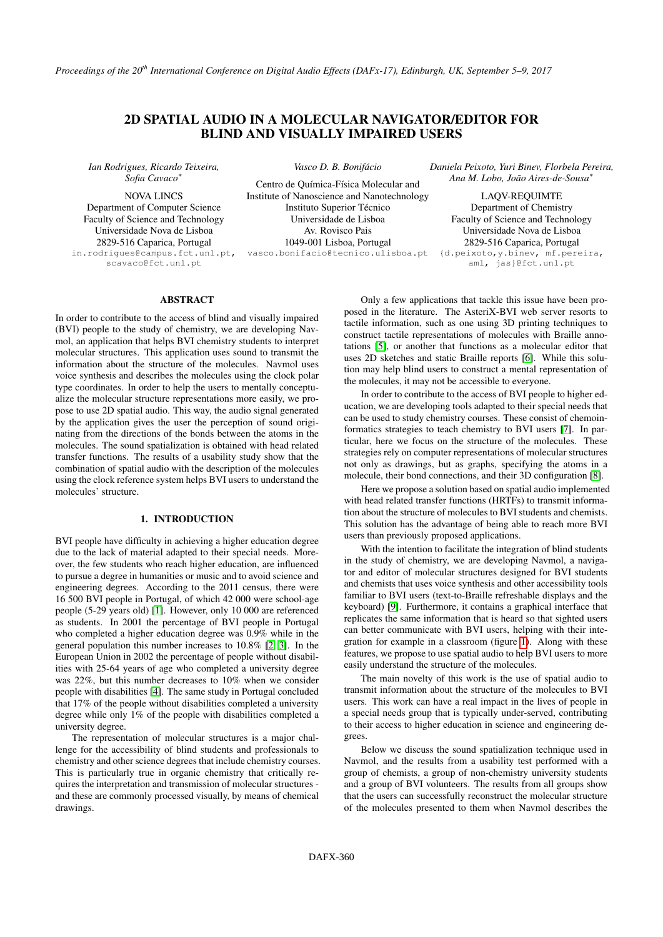# 2D SPATIAL AUDIO IN A MOLECULAR NAVIGATOR/EDITOR FOR BLIND AND VISUALLY IMPAIRED USERS

*Ian Rodrigues, Ricardo Teixeira, Sofia Cavaco*<sup>∗</sup>

NOVA LINCS Department of Computer Science Faculty of Science and Technology Universidade Nova de Lisboa 2829-516 Caparica, Portugal in.rodrigues@campus.fct.unl.pt, scavaco@fct.unl.pt

*Vasco D. B. Bonifácio*

Centro de Química-Física Molecular and Institute of Nanoscience and Nanotechnology Instituto Superior Técnico Universidade de Lisboa Av. Rovisco Pais 1049-001 Lisboa, Portugal vasco.bonifacio@tecnico.ulisboa.pt

*Daniela Peixoto, Yuri Binev, Florbela Pereira, Ana M. Lobo, João Aires-de-Sousa*<sup>∗</sup>

LAQV-REQUIMTE Department of Chemistry Faculty of Science and Technology Universidade Nova de Lisboa 2829-516 Caparica, Portugal {d.peixoto,y.binev, mf.pereira, aml, jas}@fct.unl.pt

# ABSTRACT

In order to contribute to the access of blind and visually impaired (BVI) people to the study of chemistry, we are developing Navmol, an application that helps BVI chemistry students to interpret molecular structures. This application uses sound to transmit the information about the structure of the molecules. Navmol uses voice synthesis and describes the molecules using the clock polar type coordinates. In order to help the users to mentally conceptualize the molecular structure representations more easily, we propose to use 2D spatial audio. This way, the audio signal generated by the application gives the user the perception of sound originating from the directions of the bonds between the atoms in the molecules. The sound spatialization is obtained with head related transfer functions. The results of a usability study show that the combination of spatial audio with the description of the molecules using the clock reference system helps BVI users to understand the molecules' structure.

#### 1. INTRODUCTION

BVI people have difficulty in achieving a higher education degree due to the lack of material adapted to their special needs. Moreover, the few students who reach higher education, are influenced to pursue a degree in humanities or music and to avoid science and engineering degrees. According to the 2011 census, there were 16 500 BVI people in Portugal, of which 42 000 were school-age people (5-29 years old) [\[1\]](#page-5-0). However, only 10 000 are referenced as students. In 2001 the percentage of BVI people in Portugal who completed a higher education degree was 0.9% while in the general population this number increases to 10.8% [\[2,](#page-5-1) [3\]](#page-5-2). In the European Union in 2002 the percentage of people without disabilities with 25-64 years of age who completed a university degree was 22%, but this number decreases to 10% when we consider people with disabilities [\[4\]](#page-5-3). The same study in Portugal concluded that 17% of the people without disabilities completed a university degree while only 1% of the people with disabilities completed a university degree.

The representation of molecular structures is a major challenge for the accessibility of blind students and professionals to chemistry and other science degrees that include chemistry courses. This is particularly true in organic chemistry that critically requires the interpretation and transmission of molecular structures and these are commonly processed visually, by means of chemical drawings.

Only a few applications that tackle this issue have been proposed in the literature. The AsteriX-BVI web server resorts to tactile information, such as one using 3D printing techniques to construct tactile representations of molecules with Braille annotations [\[5\]](#page-5-4), or another that functions as a molecular editor that uses 2D sketches and static Braille reports [\[6\]](#page-5-5). While this solution may help blind users to construct a mental representation of the molecules, it may not be accessible to everyone.

In order to contribute to the access of BVI people to higher education, we are developing tools adapted to their special needs that can be used to study chemistry courses. These consist of chemoinformatics strategies to teach chemistry to BVI users [\[7\]](#page-5-6). In particular, here we focus on the structure of the molecules. These strategies rely on computer representations of molecular structures not only as drawings, but as graphs, specifying the atoms in a molecule, their bond connections, and their 3D configuration [\[8\]](#page-5-7).

Here we propose a solution based on spatial audio implemented with head related transfer functions (HRTFs) to transmit information about the structure of molecules to BVI students and chemists. This solution has the advantage of being able to reach more BVI users than previously proposed applications.

With the intention to facilitate the integration of blind students in the study of chemistry, we are developing Navmol, a navigator and editor of molecular structures designed for BVI students and chemists that uses voice synthesis and other accessibility tools familiar to BVI users (text-to-Braille refreshable displays and the keyboard) [\[9\]](#page-6-0). Furthermore, it contains a graphical interface that replicates the same information that is heard so that sighted users can better communicate with BVI users, helping with their integration for example in a classroom (figure [1\)](#page-1-0). Along with these features, we propose to use spatial audio to help BVI users to more easily understand the structure of the molecules.

The main novelty of this work is the use of spatial audio to transmit information about the structure of the molecules to BVI users. This work can have a real impact in the lives of people in a special needs group that is typically under-served, contributing to their access to higher education in science and engineering degrees.

Below we discuss the sound spatialization technique used in Navmol, and the results from a usability test performed with a group of chemists, a group of non-chemistry university students and a group of BVI volunteers. The results from all groups show that the users can successfully reconstruct the molecular structure of the molecules presented to them when Navmol describes the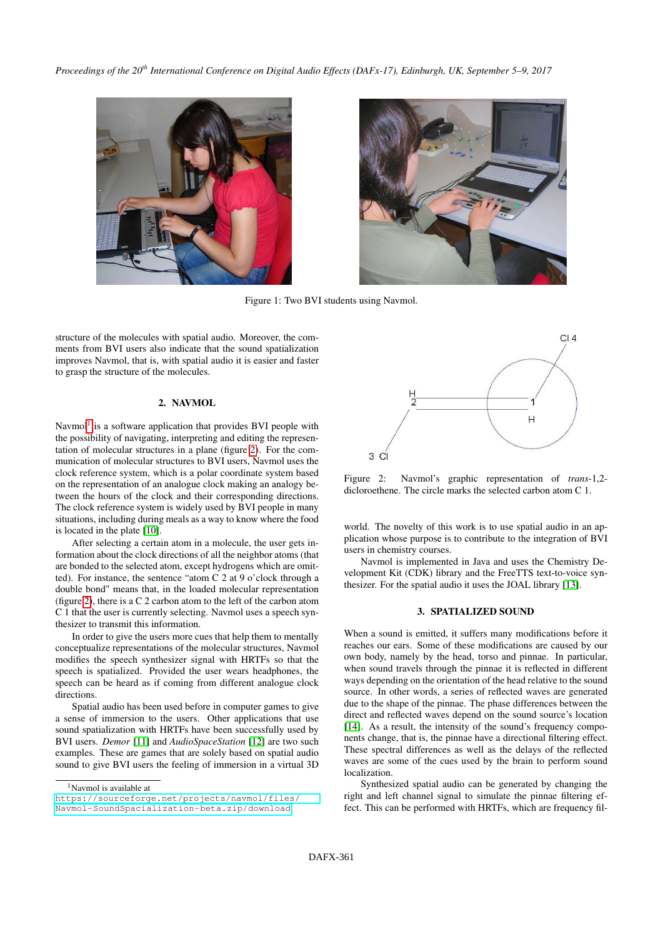*Proceedings of the 20th International Conference on Digital Audio Effects (DAFx-17), Edinburgh, UK, September 5–9, 2017*





Figure 1: Two BVI students using Navmol.

structure of the molecules with spatial audio. Moreover, the comments from BVI users also indicate that the sound spatialization improves Navmol, that is, with spatial audio it is easier and faster to grasp the structure of the molecules.

## 2. NAVMOL

Navmol<sup>[1](#page-1-1)</sup> is a software application that provides BVI people with the possibility of navigating, interpreting and editing the representation of molecular structures in a plane (figure [2\)](#page-1-2). For the communication of molecular structures to BVI users, Navmol uses the clock reference system, which is a polar coordinate system based on the representation of an analogue clock making an analogy between the hours of the clock and their corresponding directions. The clock reference system is widely used by BVI people in many situations, including during meals as a way to know where the food is located in the plate [\[10\]](#page-6-1).

After selecting a certain atom in a molecule, the user gets information about the clock directions of all the neighbor atoms (that are bonded to the selected atom, except hydrogens which are omitted). For instance, the sentence "atom C 2 at 9 o'clock through a double bond" means that, in the loaded molecular representation (figure [2\)](#page-1-2), there is a C 2 carbon atom to the left of the carbon atom C 1 that the user is currently selecting. Navmol uses a speech synthesizer to transmit this information.

In order to give the users more cues that help them to mentally conceptualize representations of the molecular structures, Navmol modifies the speech synthesizer signal with HRTFs so that the speech is spatialized. Provided the user wears headphones, the speech can be heard as if coming from different analogue clock directions.

Spatial audio has been used before in computer games to give a sense of immersion to the users. Other applications that use sound spatialization with HRTFs have been successfully used by BVI users. *Demor* [\[11\]](#page-6-2) and *AudioSpaceStation* [\[12\]](#page-6-3) are two such examples. These are games that are solely based on spatial audio sound to give BVI users the feeling of immersion in a virtual 3D

<span id="page-1-2"></span><span id="page-1-0"></span>

Figure 2: Navmol's graphic representation of *trans*-1,2 dicloroethene. The circle marks the selected carbon atom C 1.

world. The novelty of this work is to use spatial audio in an application whose purpose is to contribute to the integration of BVI users in chemistry courses.

Navmol is implemented in Java and uses the Chemistry Development Kit (CDK) library and the FreeTTS text-to-voice synthesizer. For the spatial audio it uses the JOAL library [\[13\]](#page-6-4).

#### 3. SPATIALIZED SOUND

When a sound is emitted, it suffers many modifications before it reaches our ears. Some of these modifications are caused by our own body, namely by the head, torso and pinnae. In particular, when sound travels through the pinnae it is reflected in different ways depending on the orientation of the head relative to the sound source. In other words, a series of reflected waves are generated due to the shape of the pinnae. The phase differences between the direct and reflected waves depend on the sound source's location [\[14\]](#page-6-5). As a result, the intensity of the sound's frequency components change, that is, the pinnae have a directional filtering effect. These spectral differences as well as the delays of the reflected waves are some of the cues used by the brain to perform sound localization.

Synthesized spatial audio can be generated by changing the right and left channel signal to simulate the pinnae filtering effect. This can be performed with HRTFs, which are frequency fil-

<span id="page-1-1"></span><sup>1</sup>Navmol is available at

[https://sourceforge.net/projects/navmol/files/](https://sourceforge.net/projects/navmol/files/Navmol-SoundSpacialization-beta.zip/download) [Navmol-SoundSpacialization-beta.zip/download](https://sourceforge.net/projects/navmol/files/Navmol-SoundSpacialization-beta.zip/download).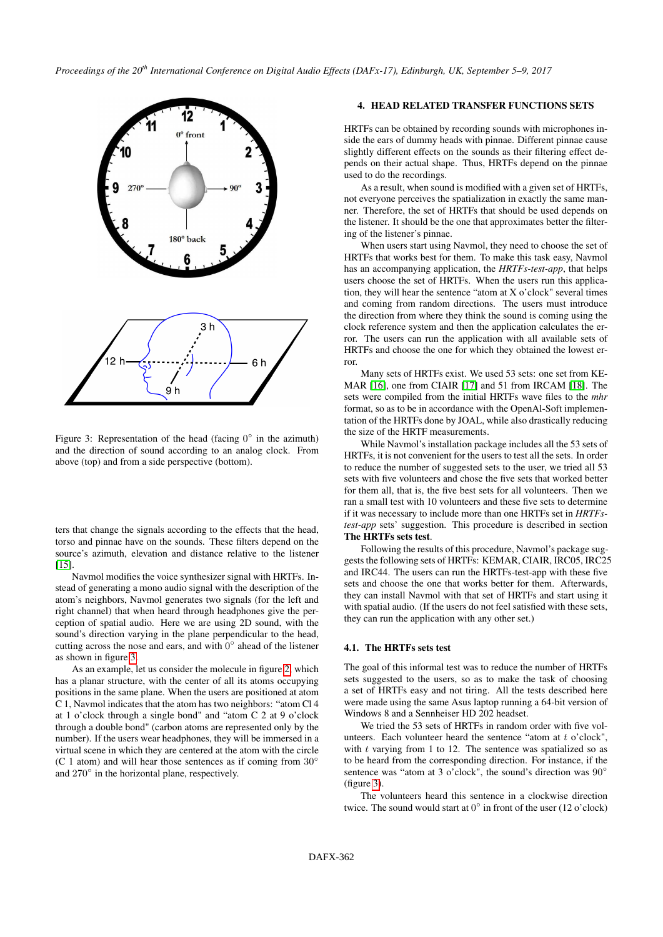<span id="page-2-0"></span>

Figure 3: Representation of the head (facing  $0^{\circ}$  in the azimuth) and the direction of sound according to an analog clock. From above (top) and from a side perspective (bottom).

ters that change the signals according to the effects that the head, torso and pinnae have on the sounds. These filters depend on the source's azimuth, elevation and distance relative to the listener [\[15\]](#page-6-6).

Navmol modifies the voice synthesizer signal with HRTFs. Instead of generating a mono audio signal with the description of the atom's neighbors, Navmol generates two signals (for the left and right channel) that when heard through headphones give the perception of spatial audio. Here we are using 2D sound, with the sound's direction varying in the plane perpendicular to the head, cutting across the nose and ears, and with  $\overrightarrow{0}^{\circ}$  ahead of the listener as shown in figure [3.](#page-2-0)

As an example, let us consider the molecule in figure [2,](#page-1-2) which has a planar structure, with the center of all its atoms occupying positions in the same plane. When the users are positioned at atom C 1, Navmol indicates that the atom has two neighbors: "atom Cl 4 at 1 o'clock through a single bond" and "atom C 2 at 9 o'clock through a double bond" (carbon atoms are represented only by the number). If the users wear headphones, they will be immersed in a virtual scene in which they are centered at the atom with the circle (C 1 atom) and will hear those sentences as if coming from  $30^\circ$ and 270◦ in the horizontal plane, respectively.

# 4. HEAD RELATED TRANSFER FUNCTIONS SETS

HRTFs can be obtained by recording sounds with microphones inside the ears of dummy heads with pinnae. Different pinnae cause slightly different effects on the sounds as their filtering effect depends on their actual shape. Thus, HRTFs depend on the pinnae used to do the recordings.

As a result, when sound is modified with a given set of HRTFs, not everyone perceives the spatialization in exactly the same manner. Therefore, the set of HRTFs that should be used depends on the listener. It should be the one that approximates better the filtering of the listener's pinnae.

When users start using Navmol, they need to choose the set of HRTFs that works best for them. To make this task easy, Navmol has an accompanying application, the *HRTFs-test-app*, that helps users choose the set of HRTFs. When the users run this application, they will hear the sentence "atom at X o'clock" several times and coming from random directions. The users must introduce the direction from where they think the sound is coming using the clock reference system and then the application calculates the error. The users can run the application with all available sets of HRTFs and choose the one for which they obtained the lowest error.

Many sets of HRTFs exist. We used 53 sets: one set from KE-MAR [\[16\]](#page-6-7), one from CIAIR [\[17\]](#page-6-8) and 51 from IRCAM [\[18\]](#page-6-9). The sets were compiled from the initial HRTFs wave files to the *mhr* format, so as to be in accordance with the OpenAl-Soft implementation of the HRTFs done by JOAL, while also drastically reducing the size of the HRTF measurements.

While Navmol's installation package includes all the 53 sets of HRTFs, it is not convenient for the users to test all the sets. In order to reduce the number of suggested sets to the user, we tried all 53 sets with five volunteers and chose the five sets that worked better for them all, that is, the five best sets for all volunteers. Then we ran a small test with 10 volunteers and these five sets to determine if it was necessary to include more than one HRTFs set in *HRTFstest-app* sets' suggestion. This procedure is described in section The HRTFs sets test.

Following the results of this procedure, Navmol's package suggests the following sets of HRTFs: KEMAR, CIAIR, IRC05, IRC25 and IRC44. The users can run the HRTFs-test-app with these five sets and choose the one that works better for them. Afterwards, they can install Navmol with that set of HRTFs and start using it with spatial audio. (If the users do not feel satisfied with these sets, they can run the application with any other set.)

# 4.1. The HRTFs sets test

The goal of this informal test was to reduce the number of HRTFs sets suggested to the users, so as to make the task of choosing a set of HRTFs easy and not tiring. All the tests described here were made using the same Asus laptop running a 64-bit version of Windows 8 and a Sennheiser HD 202 headset.

We tried the 53 sets of HRTFs in random order with five volunteers. Each volunteer heard the sentence "atom at  $t$  o'clock", with  $t$  varying from 1 to 12. The sentence was spatialized so as to be heard from the corresponding direction. For instance, if the sentence was "atom at 3 o'clock", the sound's direction was 90° (figure [3\)](#page-2-0).

The volunteers heard this sentence in a clockwise direction twice. The sound would start at  $0^{\circ}$  in front of the user (12 o'clock)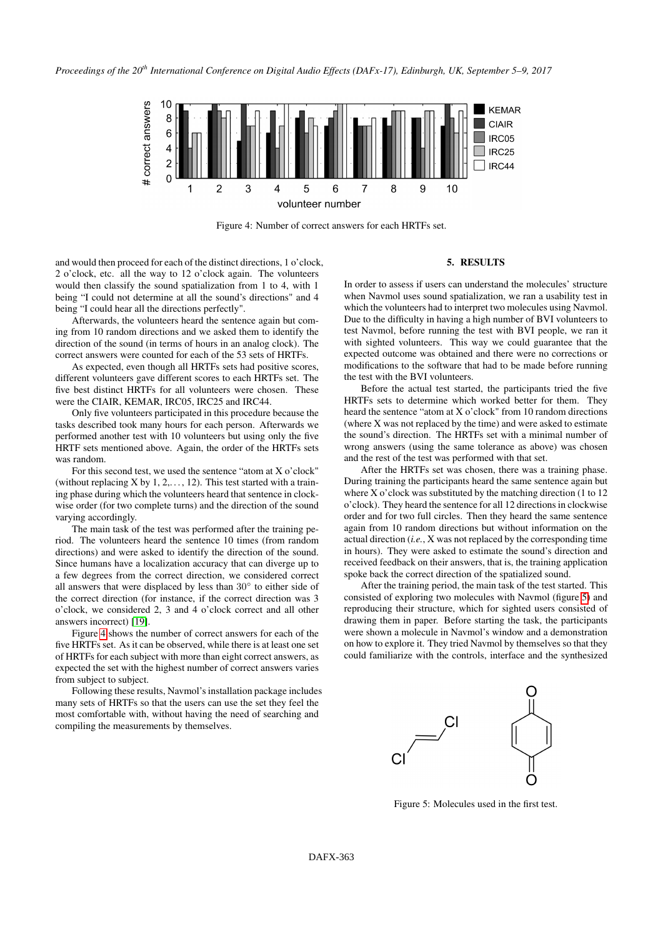

<span id="page-3-0"></span>Figure 4: Number of correct answers for each HRTFs set.

and would then proceed for each of the distinct directions, 1 o'clock, 2 o'clock, etc. all the way to 12 o'clock again. The volunteers would then classify the sound spatialization from 1 to 4, with 1 being "I could not determine at all the sound's directions" and 4 being "I could hear all the directions perfectly".

Afterwards, the volunteers heard the sentence again but coming from 10 random directions and we asked them to identify the direction of the sound (in terms of hours in an analog clock). The correct answers were counted for each of the 53 sets of HRTFs.

As expected, even though all HRTFs sets had positive scores, different volunteers gave different scores to each HRTFs set. The five best distinct HRTFs for all volunteers were chosen. These were the CIAIR, KEMAR, IRC05, IRC25 and IRC44.

Only five volunteers participated in this procedure because the tasks described took many hours for each person. Afterwards we performed another test with 10 volunteers but using only the five HRTF sets mentioned above. Again, the order of the HRTFs sets was random.

For this second test, we used the sentence "atom at X o'clock" (without replacing X by 1, 2, ..., 12). This test started with a training phase during which the volunteers heard that sentence in clockwise order (for two complete turns) and the direction of the sound varying accordingly.

The main task of the test was performed after the training period. The volunteers heard the sentence 10 times (from random directions) and were asked to identify the direction of the sound. Since humans have a localization accuracy that can diverge up to a few degrees from the correct direction, we considered correct all answers that were displaced by less than 30◦ to either side of the correct direction (for instance, if the correct direction was 3 o'clock, we considered 2, 3 and 4 o'clock correct and all other answers incorrect) [\[19\]](#page-6-10).

Figure [4](#page-3-0) shows the number of correct answers for each of the five HRTFs set. As it can be observed, while there is at least one set of HRTFs for each subject with more than eight correct answers, as expected the set with the highest number of correct answers varies from subject to subject.

Following these results, Navmol's installation package includes many sets of HRTFs so that the users can use the set they feel the most comfortable with, without having the need of searching and compiling the measurements by themselves.

#### 5. RESULTS

In order to assess if users can understand the molecules' structure when Navmol uses sound spatialization, we ran a usability test in which the volunteers had to interpret two molecules using Navmol. Due to the difficulty in having a high number of BVI volunteers to test Navmol, before running the test with BVI people, we ran it with sighted volunteers. This way we could guarantee that the expected outcome was obtained and there were no corrections or modifications to the software that had to be made before running the test with the BVI volunteers.

Before the actual test started, the participants tried the five HRTFs sets to determine which worked better for them. They heard the sentence "atom at X o'clock" from 10 random directions (where X was not replaced by the time) and were asked to estimate the sound's direction. The HRTFs set with a minimal number of wrong answers (using the same tolerance as above) was chosen and the rest of the test was performed with that set.

After the HRTFs set was chosen, there was a training phase. During training the participants heard the same sentence again but where X o'clock was substituted by the matching direction (1 to 12 o'clock). They heard the sentence for all 12 directions in clockwise order and for two full circles. Then they heard the same sentence again from 10 random directions but without information on the actual direction (*i.e.*, X was not replaced by the corresponding time in hours). They were asked to estimate the sound's direction and received feedback on their answers, that is, the training application spoke back the correct direction of the spatialized sound.

After the training period, the main task of the test started. This consisted of exploring two molecules with Navmol (figure [5\)](#page-3-1) and reproducing their structure, which for sighted users consisted of drawing them in paper. Before starting the task, the participants were shown a molecule in Navmol's window and a demonstration on how to explore it. They tried Navmol by themselves so that they could familiarize with the controls, interface and the synthesized

<span id="page-3-1"></span>

Figure 5: Molecules used in the first test.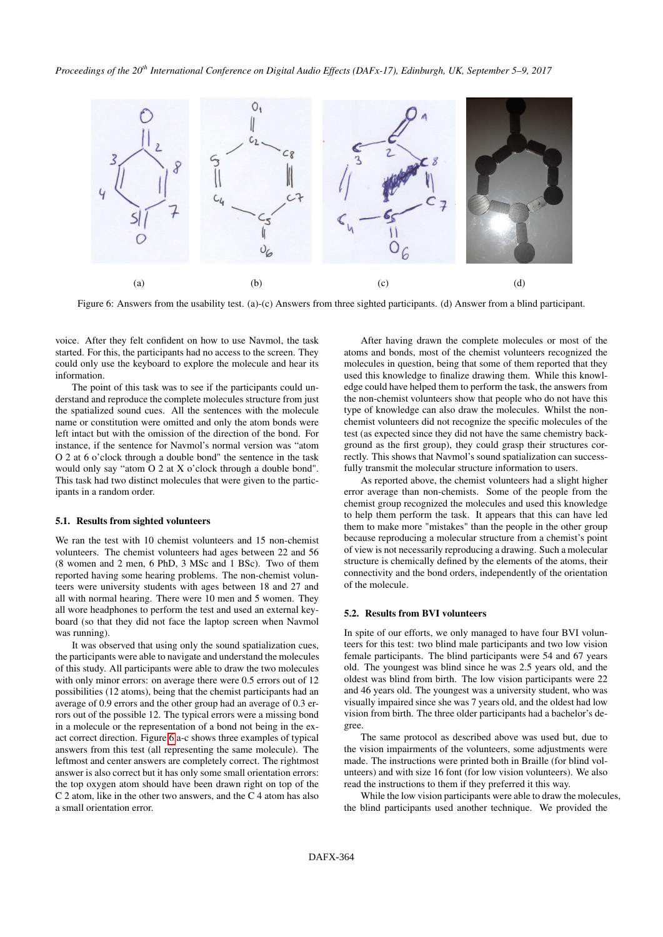*Proceedings of the 20th International Conference on Digital Audio Effects (DAFx-17), Edinburgh, UK, September 5–9, 2017*



<span id="page-4-0"></span>Figure 6: Answers from the usability test. (a)-(c) Answers from three sighted participants. (d) Answer from a blind participant.

voice. After they felt confident on how to use Navmol, the task started. For this, the participants had no access to the screen. They could only use the keyboard to explore the molecule and hear its information.

The point of this task was to see if the participants could understand and reproduce the complete molecules structure from just the spatialized sound cues. All the sentences with the molecule name or constitution were omitted and only the atom bonds were left intact but with the omission of the direction of the bond. For instance, if the sentence for Navmol's normal version was "atom O 2 at 6 o'clock through a double bond" the sentence in the task would only say "atom O 2 at X o'clock through a double bond". This task had two distinct molecules that were given to the participants in a random order.

#### 5.1. Results from sighted volunteers

We ran the test with 10 chemist volunteers and 15 non-chemist volunteers. The chemist volunteers had ages between 22 and 56 (8 women and 2 men, 6 PhD, 3 MSc and 1 BSc). Two of them reported having some hearing problems. The non-chemist volunteers were university students with ages between 18 and 27 and all with normal hearing. There were 10 men and 5 women. They all wore headphones to perform the test and used an external keyboard (so that they did not face the laptop screen when Navmol was running).

It was observed that using only the sound spatialization cues, the participants were able to navigate and understand the molecules of this study. All participants were able to draw the two molecules with only minor errors: on average there were 0.5 errors out of 12 possibilities (12 atoms), being that the chemist participants had an average of 0.9 errors and the other group had an average of 0.3 errors out of the possible 12. The typical errors were a missing bond in a molecule or the representation of a bond not being in the exact correct direction. Figure [6.](#page-4-0)a-c shows three examples of typical answers from this test (all representing the same molecule). The leftmost and center answers are completely correct. The rightmost answer is also correct but it has only some small orientation errors: the top oxygen atom should have been drawn right on top of the C 2 atom, like in the other two answers, and the C 4 atom has also a small orientation error.

After having drawn the complete molecules or most of the atoms and bonds, most of the chemist volunteers recognized the molecules in question, being that some of them reported that they used this knowledge to finalize drawing them. While this knowledge could have helped them to perform the task, the answers from the non-chemist volunteers show that people who do not have this type of knowledge can also draw the molecules. Whilst the nonchemist volunteers did not recognize the specific molecules of the test (as expected since they did not have the same chemistry background as the first group), they could grasp their structures correctly. This shows that Navmol's sound spatialization can successfully transmit the molecular structure information to users.

As reported above, the chemist volunteers had a slight higher error average than non-chemists. Some of the people from the chemist group recognized the molecules and used this knowledge to help them perform the task. It appears that this can have led them to make more "mistakes" than the people in the other group because reproducing a molecular structure from a chemist's point of view is not necessarily reproducing a drawing. Such a molecular structure is chemically defined by the elements of the atoms, their connectivity and the bond orders, independently of the orientation of the molecule.

#### 5.2. Results from BVI volunteers

In spite of our efforts, we only managed to have four BVI volunteers for this test: two blind male participants and two low vision female participants. The blind participants were 54 and 67 years old. The youngest was blind since he was 2.5 years old, and the oldest was blind from birth. The low vision participants were 22 and 46 years old. The youngest was a university student, who was visually impaired since she was 7 years old, and the oldest had low vision from birth. The three older participants had a bachelor's degree.

The same protocol as described above was used but, due to the vision impairments of the volunteers, some adjustments were made. The instructions were printed both in Braille (for blind volunteers) and with size 16 font (for low vision volunteers). We also read the instructions to them if they preferred it this way.

While the low vision participants were able to draw the molecules, the blind participants used another technique. We provided the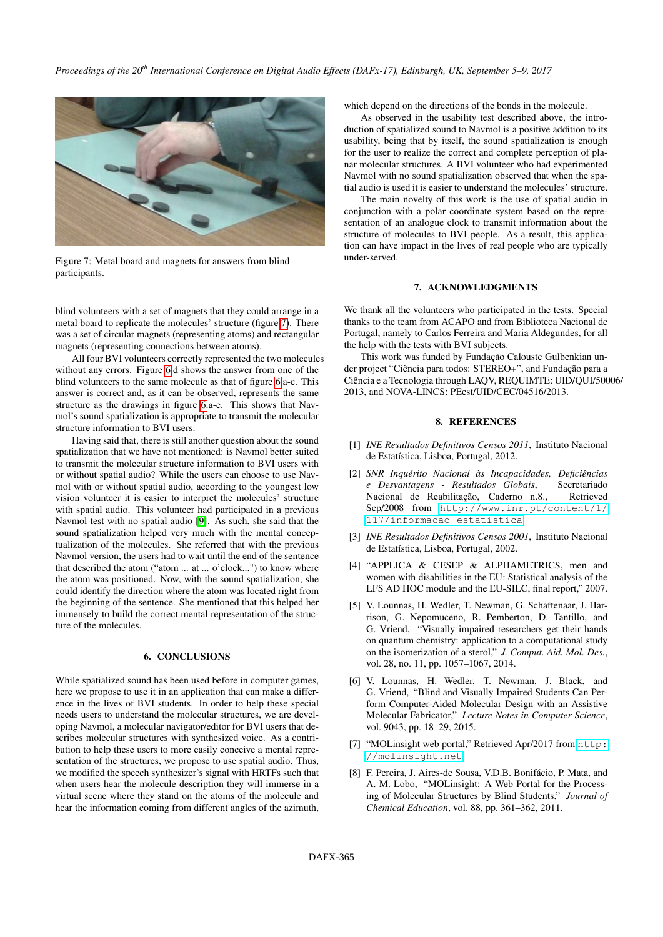<span id="page-5-8"></span>

Figure 7: Metal board and magnets for answers from blind participants.

blind volunteers with a set of magnets that they could arrange in a metal board to replicate the molecules' structure (figure [7\)](#page-5-8). There was a set of circular magnets (representing atoms) and rectangular magnets (representing connections between atoms).

All four BVI volunteers correctly represented the two molecules without any errors. Figure [6.](#page-4-0)d shows the answer from one of the blind volunteers to the same molecule as that of figure [6.](#page-4-0)a-c. This answer is correct and, as it can be observed, represents the same structure as the drawings in figure [6.](#page-4-0)a-c. This shows that Navmol's sound spatialization is appropriate to transmit the molecular structure information to BVI users.

Having said that, there is still another question about the sound spatialization that we have not mentioned: is Navmol better suited to transmit the molecular structure information to BVI users with or without spatial audio? While the users can choose to use Navmol with or without spatial audio, according to the youngest low vision volunteer it is easier to interpret the molecules' structure with spatial audio. This volunteer had participated in a previous Navmol test with no spatial audio [\[9\]](#page-6-0). As such, she said that the sound spatialization helped very much with the mental conceptualization of the molecules. She referred that with the previous Navmol version, the users had to wait until the end of the sentence that described the atom ("atom ... at ... o'clock...") to know where the atom was positioned. Now, with the sound spatialization, she could identify the direction where the atom was located right from the beginning of the sentence. She mentioned that this helped her immensely to build the correct mental representation of the structure of the molecules.

#### 6. CONCLUSIONS

While spatialized sound has been used before in computer games, here we propose to use it in an application that can make a difference in the lives of BVI students. In order to help these special needs users to understand the molecular structures, we are developing Navmol, a molecular navigator/editor for BVI users that describes molecular structures with synthesized voice. As a contribution to help these users to more easily conceive a mental representation of the structures, we propose to use spatial audio. Thus, we modified the speech synthesizer's signal with HRTFs such that when users hear the molecule description they will immerse in a virtual scene where they stand on the atoms of the molecule and hear the information coming from different angles of the azimuth,

which depend on the directions of the bonds in the molecule.

As observed in the usability test described above, the introduction of spatialized sound to Navmol is a positive addition to its usability, being that by itself, the sound spatialization is enough for the user to realize the correct and complete perception of planar molecular structures. A BVI volunteer who had experimented Navmol with no sound spatialization observed that when the spatial audio is used it is easier to understand the molecules' structure.

The main novelty of this work is the use of spatial audio in conjunction with a polar coordinate system based on the representation of an analogue clock to transmit information about the structure of molecules to BVI people. As a result, this application can have impact in the lives of real people who are typically under-served.

## 7. ACKNOWLEDGMENTS

We thank all the volunteers who participated in the tests. Special thanks to the team from ACAPO and from Biblioteca Nacional de Portugal, namely to Carlos Ferreira and Maria Aldegundes, for all the help with the tests with BVI subjects.

This work was funded by Fundação Calouste Gulbenkian under project "Ciência para todos: STEREO+", and Fundação para a Ciência e a Tecnologia through LAQV, REQUIMTE: UID/QUI/50006/ 2013, and NOVA-LINCS: PEest/UID/CEC/04516/2013.

## 8. REFERENCES

- <span id="page-5-0"></span>[1] *INE Resultados Definitivos Censos 2011*, Instituto Nacional de Estatística, Lisboa, Portugal, 2012.
- <span id="page-5-1"></span>[2] *SNR Inquérito Nacional às Incapacidades, Deficiências e Desvantagens - Resultados Globais*, Secretariado Nacional de Reabilitação, Caderno n.8., Retrieved Sep/2008 from [http://www.inr.pt/content/1/](http://www.inr.pt/content/1/117/informacao-estatistica) [117/informacao-estatistica](http://www.inr.pt/content/1/117/informacao-estatistica).
- <span id="page-5-2"></span>[3] *INE Resultados Definitivos Censos 2001*, Instituto Nacional de Estatística, Lisboa, Portugal, 2002.
- <span id="page-5-3"></span>[4] "APPLICA & CESEP & ALPHAMETRICS, men and women with disabilities in the EU: Statistical analysis of the LFS AD HOC module and the EU-SILC, final report," 2007.
- <span id="page-5-4"></span>[5] V. Lounnas, H. Wedler, T. Newman, G. Schaftenaar, J. Harrison, G. Nepomuceno, R. Pemberton, D. Tantillo, and G. Vriend, "Visually impaired researchers get their hands on quantum chemistry: application to a computational study on the isomerization of a sterol," *J. Comput. Aid. Mol. Des.*, vol. 28, no. 11, pp. 1057–1067, 2014.
- <span id="page-5-5"></span>[6] V. Lounnas, H. Wedler, T. Newman, J. Black, and G. Vriend, "Blind and Visually Impaired Students Can Perform Computer-Aided Molecular Design with an Assistive Molecular Fabricator," *Lecture Notes in Computer Science*, vol. 9043, pp. 18–29, 2015.
- <span id="page-5-6"></span>[7] "MOLinsight web portal," Retrieved Apr/2017 from [http:](http://molinsight.net) [//molinsight.net](http://molinsight.net).
- <span id="page-5-7"></span>[8] F. Pereira, J. Aires-de Sousa, V.D.B. Bonifácio, P. Mata, and A. M. Lobo, "MOLinsight: A Web Portal for the Processing of Molecular Structures by Blind Students," *Journal of Chemical Education*, vol. 88, pp. 361–362, 2011.